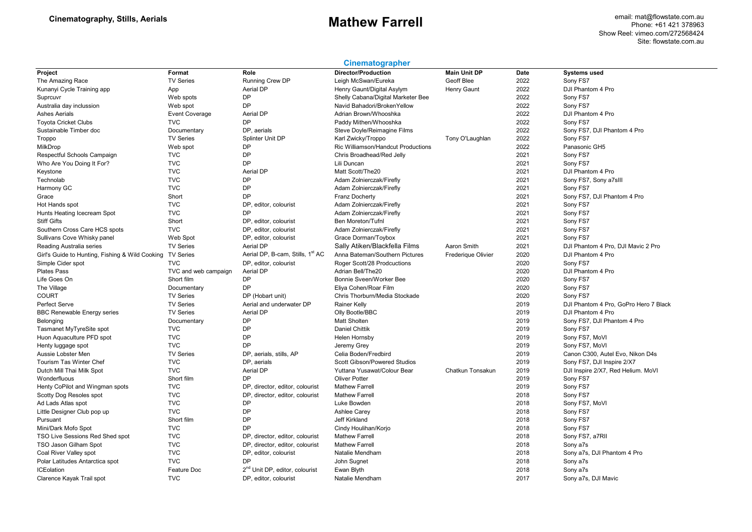email: mat@flowstate.com.au Phone: +61 421 378963 Show Reel: vimeo.com/272568424 Site: flowstate.com.au

### **Cinematographer**

| Project                                         | Format                   | Role                                         | <b>Director/Production</b>                     | <b>Main Unit DP</b> | Date         | <b>Systems used</b>                   |
|-------------------------------------------------|--------------------------|----------------------------------------------|------------------------------------------------|---------------------|--------------|---------------------------------------|
| The Amazing Race                                | <b>TV Series</b>         | Running Crew DP                              | Leigh McSwan/Eureka                            | Geoff Blee          | 2022         | Sony FS7                              |
| Kunanyi Cycle Training app                      | App                      | Aerial DP                                    | Henry Gaunt/Digital Asylym                     | Henry Gaunt         | 2022         | DJI Phantom 4 Pro                     |
| Suprcuvr                                        | Web spots                | <b>DP</b>                                    | Shelly Cabana/Digital Marketer Bee             |                     | 2022         | Sony FS7                              |
| Australia day inclussion                        | Web spot                 | <b>DP</b>                                    | Navid Bahadori/BrokenYellow                    |                     | 2022         | Sony FS7                              |
| <b>Ashes Aerials</b>                            | <b>Event Coverage</b>    | <b>Aerial DP</b>                             | Adrian Brown/Whooshka                          |                     | 2022         | DJI Phantom 4 Pro                     |
| <b>Toyota Cricket Clubs</b>                     | <b>TVC</b>               | <b>DP</b>                                    | Paddy Mithen/Whooshka                          |                     | 2022         | Sony FS7                              |
| Sustainable Timber doc                          | Documentary              | DP, aerials                                  | Steve Doyle/Reimagine Films                    |                     | 2022         | Sony FS7, DJI Phantom 4 Pro           |
| Troppo                                          | <b>TV Series</b>         | Splinter Unit DP                             | Karl Zwicky/Troppo                             | Tony O'Laughlan     | 2022         | Sony FS7                              |
| MilkDrop                                        | Web spot                 | <b>DP</b>                                    | Ric Williamson/Handcut Productions             |                     | 2022         | Panasonic GH5                         |
| Respectful Schools Campaign                     | <b>TVC</b>               | DP                                           | Chris Broadhead/Red Jelly                      |                     | 2021         | Sony FS7                              |
| Who Are You Doing It For?                       | <b>TVC</b>               | <b>DP</b>                                    | Lili Duncan                                    |                     | 2021         | Sony FS7                              |
| Keystone                                        | <b>TVC</b>               | <b>Aerial DP</b>                             | Matt Scott/The20                               |                     | 2021         | DJI Phantom 4 Pro                     |
| Technolab                                       | <b>TVC</b>               | <b>DP</b>                                    | Adam Zolnierczak/Firefly                       |                     | 2021         | Sony FS7, Sony a7sIII                 |
| Harmony GC                                      | <b>TVC</b>               | DP                                           | Adam Zolnierczak/Firefly                       |                     | 2021         | Sony FS7                              |
| Grace                                           | Short                    | <b>DP</b>                                    | <b>Franz Docherty</b>                          |                     | 2021         | Sony FS7, DJI Phantom 4 Pro           |
| Hot Hands spot                                  | <b>TVC</b>               | DP, editor, colourist                        | Adam Zolnierczak/Firefly                       |                     | 2021         | Sony FS7                              |
| Hunts Heating Icecream Spot                     | <b>TVC</b>               | <b>DP</b>                                    | Adam Zolnierczak/Firefly                       |                     | 2021         | Sony FS7                              |
| <b>Stiff Gifts</b>                              | Short                    | DP, editor, colourist                        | Ben Moreton/Tufnl                              |                     | 2021         | Sony FS7                              |
| Southern Cross Care HCS spots                   | <b>TVC</b>               | DP, editor, colourist                        | Adam Zolnierczak/Firefly                       |                     | 2021         | Sony FS7                              |
| Sullivans Cove Whisky panel                     | Web Spot                 | DP, editor, colourist                        | Grace Dorman/Toybox                            |                     | 2021         | Sony FS7                              |
| Reading Australia series                        | <b>TV Series</b>         | <b>Aerial DP</b>                             | Sally Atiken/Blackfella Films                  | Aaron Smith         | 2021         | DJI Phantom 4 Pro, DJI Mavic 2 Pro    |
| Girl's Guide to Hunting, Fishing & Wild Cooking | <b>TV Series</b>         | Aerial DP, B-cam, Stills, 1 <sup>st</sup> AC | Anna Bateman/Southern Pictures                 | Frederique Olivier  | 2020         | DJI Phantom 4 Pro                     |
| Simple Cider spot                               | <b>TVC</b>               | DP, editor, colourist                        | Roger Scott/28 Prodcuctions                    |                     | 2020         | Sony FS7                              |
| <b>Plates Pass</b>                              | TVC and web campaign     | <b>Aerial DP</b>                             | Adrian Bell/The20                              |                     | 2020         | DJI Phantom 4 Pro                     |
| Life Goes On                                    | Short film               | DP                                           | Bonnie Sveen/Worker Bee                        |                     | 2020         | Sony FS7                              |
| The Village                                     | Documentary              | DP                                           | Eliya Cohen/Roar Film                          |                     | 2020         | Sony FS7                              |
| <b>COURT</b>                                    | <b>TV Series</b>         | DP (Hobart unit)                             | Chris Thorburn/Media Stockade                  |                     | 2020         | Sony FS7                              |
| <b>Perfect Serve</b>                            | <b>TV Series</b>         | Aerial and underwater DP                     | <b>Rainer Kelly</b>                            |                     | 2019         | DJI Phantom 4 Pro, GoPro Hero 7 Black |
| <b>BBC Renewable Energy series</b>              | <b>TV Series</b>         | <b>Aerial DP</b>                             | Olly Bootle/BBC                                |                     | 2019         | DJI Phantom 4 Pro                     |
| Belonging                                       | Documentary              | <b>DP</b>                                    | <b>Matt Sholten</b>                            |                     | 2019         | Sony FS7, DJI Phantom 4 Pro           |
| Tasmanet MyTyreSite spot                        | <b>TVC</b>               | <b>DP</b>                                    | <b>Daniel Chittik</b>                          |                     | 2019         | Sony FS7                              |
| Huon Aquaculture PFD spot                       | <b>TVC</b>               | <b>DP</b>                                    | Helen Hornsby                                  |                     | 2019         | Sony FS7, MoVI                        |
| Henty luggage spot                              | <b>TVC</b>               | <b>DP</b>                                    | Jeremy Grey                                    |                     | 2019         | Sony FS7, MoVI                        |
| Aussie Lobster Men                              | <b>TV Series</b>         | DP, aerials, stills, AP                      | Celia Boden/Fredbird                           |                     | 2019         | Canon C300, Autel Evo, Nikon D4s      |
| Tourism Tas Winter Chef                         | <b>TVC</b>               | DP, aerials                                  | <b>Scott Gibson/Powered Studios</b>            |                     | 2019         | Sony FS7, DJI Inspire 2/X7            |
| Dutch Mill Thai Milk Spot                       | <b>TVC</b>               | <b>Aerial DP</b>                             | Yuttana Yusawat/Colour Bear                    | Chatkun Tonsakun    | 2019         | DJI Inspire 2/X7, Red Helium. MoVI    |
| Wonderfluous                                    | Short film               | <b>DP</b>                                    | Oliver Potter                                  |                     | 2019         | Sony FS7                              |
| Henty CoPilot and Wingman spots                 | <b>TVC</b>               | DP, director, editor, colourist              | <b>Mathew Farrell</b>                          |                     | 2019         | Sony FS7                              |
|                                                 | <b>TVC</b>               |                                              | <b>Mathew Farrel</b>                           |                     | 2018         | Sony FS7                              |
| Scotty Dog Resoles spot                         | <b>TVC</b>               | DP, director, editor, colourist<br><b>DP</b> | Luke Bowden                                    |                     | 2018         |                                       |
| Ad Lads Atlas spot                              | <b>TVC</b>               | <b>DP</b>                                    | <b>Ashlee Carey</b>                            |                     | 2018         | Sony FS7, MoVI                        |
| Little Designer Club pop up                     | Short film               | <b>DP</b>                                    | Jeff Kirkland                                  |                     | 2018         | Sony FS7                              |
| Pursuant                                        | <b>TVC</b>               | <b>DP</b>                                    |                                                |                     | 2018         | Sony FS7                              |
| Mini/Dark Mofo Spot                             |                          |                                              | Cindy Houlihan/Korjo                           |                     |              | Sony FS7                              |
| TSO Live Sessions Red Shed spot                 | <b>TVC</b><br><b>TVC</b> | DP, director, editor, colourist              | <b>Mathew Farrell</b><br><b>Mathew Farrell</b> |                     | 2018<br>2018 | Sony FS7, a7RII                       |
| TSO Jason Gilham Spot                           |                          | DP, director, editor, colourist              |                                                |                     |              | Sony a7s                              |
| Coal River Valley spot                          | <b>TVC</b>               | DP, editor, colourist                        | Natalie Mendham                                |                     | 2018         | Sony a7s, DJI Phantom 4 Pro           |
| Polar Latitudes Antarctica spot                 | <b>TVC</b>               | <b>DP</b>                                    | John Sugnet                                    |                     | 2018         | Sony a7s                              |
| <b>ICEolation</b>                               | Feature Doc              | 2 <sup>nd</sup> Unit DP, editor, colourist   | Ewan Blyth                                     |                     | 2018         | Sony a7s                              |
| Clarence Kayak Trail spot                       | <b>TVC</b>               | DP, editor, colourist                        | Natalie Mendham                                |                     | 2017         | Sony a7s, DJI Mavic                   |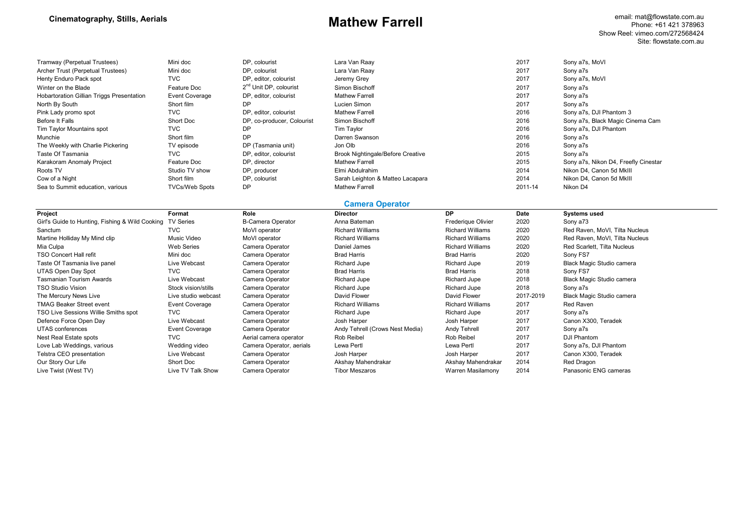email: mat@flowstate.com.au Phone: +61 421 378963 Show Reel: vimeo.com/272568424 Site: flowstate.com.au

| Tramway (Perpetual Trustees)              | Mini doc              | DP. colourist                      | Lara Van Raav                            | 2017    | Sony a7s, MoVI                       |
|-------------------------------------------|-----------------------|------------------------------------|------------------------------------------|---------|--------------------------------------|
| Archer Trust (Perpetual Trustees)         | Mini doc              | DP. colourist                      | Lara Van Raay                            | 2017    | Sony a7s                             |
| Henty Enduro Pack spot                    | <b>TVC</b>            | DP, editor, colourist              | Jeremy Grey                              | 2017    | Sony a7s, MoVI                       |
| Winter on the Blade                       | Feature Doc           | 2 <sup>nd</sup> Unit DP, colourist | Simon Bischoff                           | 2017    | Sony a7s                             |
| Hobartoration Gillian Triggs Presentation | <b>Event Coverage</b> | DP. editor. colourist              | <b>Mathew Farrell</b>                    | 2017    | Sony a7s                             |
| North By South                            | Short film            | DP                                 | Lucien Simon                             | 2017    | Sony a7s                             |
| Pink Lady promo spot                      | <b>TVC</b>            | DP. editor. colourist              | <b>Mathew Farrell</b>                    | 2016    | Sony a7s, DJI Phantom 3              |
| Before It Falls                           | Short Doc             | DP, co-producer, Colourist         | Simon Bischoff                           | 2016    | Sony a7s, Black Magic Cinema Cam     |
| Tim Taylor Mountains spot                 | <b>TVC</b>            | DP                                 | Tim Taylor                               | 2016    | Sony a7s, DJI Phantom                |
| Munchie                                   | Short film            | DP                                 | Darren Swanson                           | 2016    | Sony a7s                             |
| The Weekly with Charlie Pickering         | TV episode            | DP (Tasmania unit)                 | Jon Olb                                  | 2016    | Sony a7s                             |
| Taste Of Tasmania                         | <b>TVC</b>            | DP, editor, colourist              | <b>Brook Nightingale/Before Creative</b> | 2015    | Sony a7s                             |
| Karakoram Anomaly Project                 | Feature Doc           | DP. director                       | <b>Mathew Farrell</b>                    | 2015    | Sony a7s, Nikon D4, Freefly Cinestar |
| Roots TV                                  | Studio TV show        | DP, producer                       | Elmi Abdulrahim                          | 2014    | Nikon D4, Canon 5d MkIII             |
| Cow of a Night                            | Short film            | DP. colourist                      | Sarah Leighton & Matteo Lacapara         | 2014    | Nikon D4, Canon 5d MkIII             |
| Sea to Summit education, various          | <b>TVCs/Web Spots</b> | <b>DP</b>                          | <b>Mathew Farrell</b>                    | 2011-14 | Nikon D4                             |

### **Camera Operator**

| Project                                         | Format              | Role                     | <b>Director</b>                 | DP                      | Date      | <b>Systems used</b>            |
|-------------------------------------------------|---------------------|--------------------------|---------------------------------|-------------------------|-----------|--------------------------------|
| Girl's Guide to Hunting, Fishing & Wild Cooking | <b>TV Series</b>    | <b>B-Camera Operator</b> | Anna Bateman                    | Frederique Olivier      | 2020      | Sony a73                       |
| Sanctum                                         | <b>TVC</b>          | MoVI operator            | <b>Richard Williams</b>         | <b>Richard Williams</b> | 2020      | Red Raven, MoVI, Tilta Nucleus |
| Martine Holliday My Mind clip                   | Music Video         | MoVI operator            | <b>Richard Williams</b>         | <b>Richard Williams</b> | 2020      | Red Raven, MoVI, Tilta Nucleus |
| Mia Culpa                                       | Web Series          | Camera Operator          | Daniel James                    | <b>Richard Williams</b> | 2020      | Red Scarlett, Tilta Nucleus    |
| <b>TSO Concert Hall refit</b>                   | Mini doc            | Camera Operator          | <b>Brad Harris</b>              | <b>Brad Harris</b>      | 2020      | Sony FS7                       |
| Taste Of Tasmania live panel                    | Live Webcast        | Camera Operator          | Richard Jupe                    | Richard Jupe            | 2019      | Black Magic Studio camera      |
| UTAS Open Day Spot                              | <b>TVC</b>          | Camera Operator          | <b>Brad Harris</b>              | <b>Brad Harris</b>      | 2018      | Sony FS7                       |
| <b>Tasmanian Tourism Awards</b>                 | Live Webcast        | Camera Operator          | Richard Jupe                    | Richard Jupe            | 2018      | Black Magic Studio camera      |
| <b>TSO Studio Vision</b>                        | Stock vision/stills | Camera Operator          | Richard Jupe                    | Richard Jupe            | 2018      | Sony a7s                       |
| The Mercury News Live                           | Live studio webcast | Camera Operator          | David Flower                    | David Flower            | 2017-2019 | Black Magic Studio camera      |
| <b>TMAG Beaker Street event</b>                 | Event Coverage      | Camera Operator          | <b>Richard Williams</b>         | <b>Richard Williams</b> | 2017      | Red Raven                      |
| TSO Live Sessions Willie Smiths spot            | <b>TVC</b>          | Camera Operator          | Richard Jupe                    | Richard Jupe            | 2017      | Sony a7s                       |
| Defence Force Open Day                          | Live Webcast        | Camera Operator          | Josh Harper                     | Josh Harper             | 2017      | Canon X300, Teradek            |
| UTAS conferences                                | Event Coverage      | Camera Operator          | Andy Tehrell (Crows Nest Media) | Andy Tehrell            | 2017      | Sony a7s                       |
| Nest Real Estate spots                          | <b>TVC</b>          | Aerial camera operator   | Rob Reibel                      | Rob Reibel              | 2017      | DJI Phantom                    |
| Love Lab Weddings, various                      | Wedding video       | Camera Operator, aerials | Lewa Pertl                      | Lewa Pertl              | 2017      | Sony a7s, DJI Phantom          |
| Telstra CEO presentation                        | Live Webcast        | Camera Operator          | Josh Harper                     | Josh Harper             | 2017      | Canon X300, Teradek            |
| Our Story Our Life                              | Short Doc           | Camera Operator          | Akshay Mahendrakar              | Akshay Mahendrakar      | 2014      | Red Dragon                     |
| Live Twist (West TV)                            | Live TV Talk Show   | Camera Operator          | <b>Tibor Meszaros</b>           | Warren Masilamony       | 2014      | Panasonic ENG cameras          |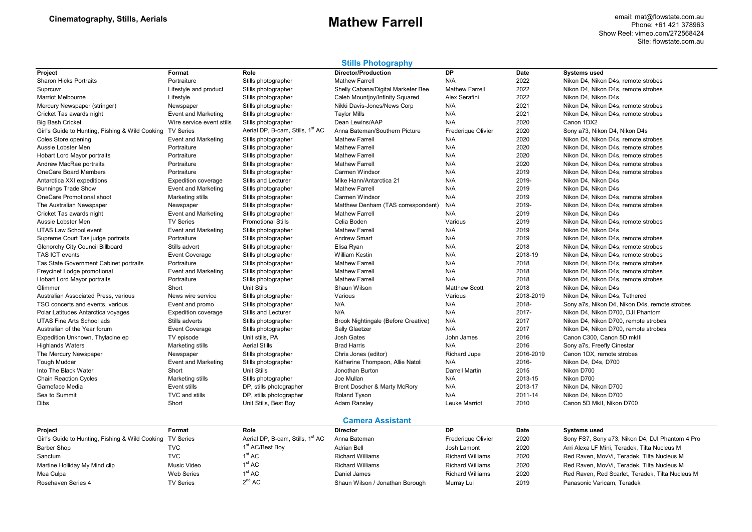### **Stills Photography**

| Project                                                   | Format                     | Role                                         | <b>Director/Production</b>          | DP                        | Date      | <b>Systems used</b>                             |
|-----------------------------------------------------------|----------------------------|----------------------------------------------|-------------------------------------|---------------------------|-----------|-------------------------------------------------|
| <b>Sharon Hicks Portraits</b>                             | Portraiture                | Stills photographer                          | <b>Mathew Farrell</b>               | N/A                       | 2022      | Nikon D4, Nikon D4s, remote strobes             |
| Suprcuvr                                                  | Lifestyle and product      | Stills photographer                          | Shelly Cabana/Digital Marketer Bee  | <b>Mathew Farrell</b>     | 2022      | Nikon D4. Nikon D4s, remote strobes             |
| Marriot Melbourne                                         | Lifestyle                  | Stills photographer                          | Caleb Mountjoy/Infinity Squared     | Alex Serafini             | 2022      | Nikon D4, Nikon D4s                             |
| Mercury Newspaper (stringer)                              | Newspaper                  | Stills photographer                          | Nikki Davis-Jones/News Corp         | N/A                       | 2021      | Nikon D4, Nikon D4s, remote strobes             |
| Cricket Tas awards night                                  | <b>Event and Marketing</b> | Stills photographer                          | <b>Taylor Mills</b>                 | N/A                       | 2021      | Nikon D4, Nikon D4s, remote strobes             |
| <b>Big Bash Cricket</b>                                   | Wire service event stills  | Stills photographer                          | Dean Lewins/AAP                     | N/A                       | 2020      | Canon 1DX2                                      |
| Girl's Guide to Hunting, Fishing & Wild Cooking TV Series |                            | Aerial DP, B-cam, Stills, 1 <sup>st</sup> AC | Anna Bateman/Southern Picture       | <b>Frederique Olivier</b> | 2020      | Sony a73, Nikon D4, Nikon D4s                   |
| Coles Store opening                                       | Event and Marketing        | Stills photographer                          | <b>Mathew Farrell</b>               | N/A                       | 2020      | Nikon D4, Nikon D4s, remote strobes             |
| Aussie Lobster Men                                        | Portraiture                | Stills photographer                          | <b>Mathew Farrell</b>               | N/A                       | 2020      | Nikon D4, Nikon D4s, remote strobes             |
| <b>Hobart Lord Mayor portraits</b>                        | Portraiture                | Stills photographer                          | <b>Mathew Farrell</b>               | N/A                       | 2020      | Nikon D4, Nikon D4s, remote strobes             |
| Andrew MacRae portraits                                   | Portraiture                | Stills photographer                          | <b>Mathew Farrell</b>               | N/A                       | 2020      | Nikon D4, Nikon D4s, remote strobes             |
| <b>OneCare Board Members</b>                              | Portraiture                | Stills photographer                          | <b>Carmen Windsor</b>               | N/A                       | 2019      | Nikon D4, Nikon D4s, remote strobes             |
| Antarctica XXI expeditions                                | <b>Expedition coverage</b> | Stills and Lecturer                          | Mike Hann/Antarctica 21             | N/A                       | 2019-     | Nikon D4, Nikon D4s                             |
| <b>Bunnings Trade Show</b>                                | <b>Event and Marketing</b> | Stills photographer                          | <b>Mathew Farrell</b>               | N/A                       | 2019      | Nikon D4, Nikon D4s                             |
| <b>OneCare Promotional shoot</b>                          | Marketing stills           | Stills photographer                          | <b>Carmen Windsor</b>               | N/A                       | 2019      | Nikon D4, Nikon D4s, remote strobes             |
| The Australian Newspaper                                  | Newspaper                  | Stills photographer                          | Matthew Denham (TAS correspondent)  | N/A                       | 2019-     | Nikon D4. Nikon D4s, remote strobes             |
| Cricket Tas awards night                                  | <b>Event and Marketing</b> | Stills photographer                          | <b>Mathew Farrell</b>               | N/A                       | 2019      | Nikon D4, Nikon D4s                             |
| Aussie Lobster Men                                        | <b>TV Series</b>           | <b>Promotional Stills</b>                    | Celia Boden                         | Various                   | 2019      | Nikon D4, Nikon D4s, remote strobes             |
| <b>UTAS Law School event</b>                              | Event and Marketing        | Stills photographer                          | <b>Mathew Farrell</b>               | N/A                       | 2019      | Nikon D4, Nikon D4s                             |
| Supreme Court Tas judge portraits                         | Portraiture                | Stills photographer                          | <b>Andrew Smart</b>                 | N/A                       | 2019      | Nikon D4, Nikon D4s, remote strobes             |
| Glenorchy City Council Billboard                          | Stills advert              | Stills photographer                          | Elisa Ryan                          | N/A                       | 2018      | Nikon D4, Nikon D4s, remote strobes             |
| TAS ICT events                                            | Event Coverage             | Stills photographer                          | <b>William Kestin</b>               | N/A                       | 2018-19   | Nikon D4, Nikon D4s, remote strobes             |
| Tas State Government Cabinet portraits                    | Portraiture                | Stills photographer                          | <b>Mathew Farrell</b>               | N/A                       | 2018      | Nikon D4, Nikon D4s, remote strobes             |
| Freycinet Lodge promotional                               | Event and Marketing        | Stills photographer                          | <b>Mathew Farrell</b>               | N/A                       | 2018      | Nikon D4, Nikon D4s, remote strobes             |
| Hobart Lord Mayor portraits                               | Portraiture                | Stills photographer                          | <b>Mathew Farrell</b>               | N/A                       | 2018      | Nikon D4, Nikon D4s, remote strobes             |
| Glimmer                                                   | Short                      | Unit Stills                                  | Shaun Wilson                        | <b>Matthew Scott</b>      | 2018      | Nikon D4, Nikon D4s                             |
| Australian Associated Press, various                      | News wire service          | Stills photographer                          | Various                             | Various                   | 2018-2019 | Nikon D4, Nikon D4s, Tethered                   |
| TSO concerts and events, various                          | Event and promo            | Stills photographer                          | N/A                                 | N/A                       | 2018-     | Sony a7s, Nikon D4, Nikon D4s, remote strobes   |
| Polar Latitudes Antarctica voyages                        | <b>Expedition coverage</b> | Stills and Lecturer                          | N/A                                 | N/A                       | 2017-     | Nikon D4, Nikon D700, DJI Phantom               |
| UTAS Fine Arts School ads                                 | Stills adverts             | Stills photographer                          | Brook Nightingale (Before Creative) | N/A                       | 2017      | Nikon D4, Nikon D700, remote strobes            |
| Australian of the Year forum                              | Event Coverage             | Stills photographer                          | <b>Sally Glaetzer</b>               | N/A                       | 2017      | Nikon D4, Nikon D700, remote strobes            |
| Expedition Unknown, Thylacine ep                          | TV episode                 | Unit stills, PA                              | <b>Josh Gates</b>                   | John James                | 2016      | Canon C300, Canon 5D mklll                      |
| <b>Highlands Waters</b>                                   | Marketing stills           | <b>Aerial Stills</b>                         | <b>Brad Harris</b>                  | N/A                       | 2016      | Sony a7s, Freefly Cinestar                      |
| The Mercury Newspaper                                     | Newspaper                  | Stills photographer                          | Chris Jones (editor)                | <b>Richard Jupe</b>       | 2016-2019 | Canon 1DX, remote strobes                       |
| <b>Tough Mudder</b>                                       | <b>Event and Marketing</b> | Stills photographer                          | Katherine Thompson, Allie Natoli    | N/A                       | 2016-     | Nikon D4, D4s, D700                             |
| Into The Black Water                                      | Short                      | Unit Stills                                  | Jonothan Burton                     | <b>Darrell Martin</b>     | 2015      | Nikon D700                                      |
| <b>Chain Reaction Cycles</b>                              | Marketing stills           | Stills photographer                          | Joe Mullan                          | N/A                       | 2013-15   | Nikon D700                                      |
| Gameface Media                                            | Event stills               | DP, stills photographer                      | Brent Doscher & Marty McRory        | N/A                       | 2013-17   | Nikon D4, Nikon D700                            |
| Sea to Summit                                             | TVC and stills             | DP, stills photographer                      | Roland Tyson                        | N/A                       | 2011-14   | Nikon D4, Nikon D700                            |
| <b>Dibs</b>                                               | Short                      | Unit Stills, Best Boy                        | Adam Ransley                        | Leuke Marriot             | 2010      | Canon 5D MkII, Nikon D700                       |
|                                                           |                            |                                              | <b>Camera Assistant</b>             |                           |           |                                                 |
| Project                                                   | Format                     | Role                                         | <b>Director</b>                     | <b>DP</b>                 | Date      | <b>Systems used</b>                             |
| Girl's Guide to Hunting, Fishing & Wild Cooking TV Series |                            | Aerial DP, B-cam, Stills, 1 <sup>st</sup> AC | Anna Bateman                        | <b>Frederique Olivier</b> | 2020      | Sony FS7, Sony a73, Nikon D4, DJI Phantom 4 Pro |

| Project                                                   | Format      | Role                                         | Director                        | υ۲                        | Date | svstems used                                     |
|-----------------------------------------------------------|-------------|----------------------------------------------|---------------------------------|---------------------------|------|--------------------------------------------------|
| Girl's Guide to Hunting, Fishing & Wild Cooking TV Series |             | Aerial DP, B-cam, Stills, 1 <sup>st</sup> AC | Anna Bateman                    | <b>Frederiaue Olivier</b> | 2020 | Sony FS7, Sony a73, Nikon D4, DJI Phantom 4 Pro  |
| Barber Shop                                               | TVC         | 1 <sup>st</sup> AC/Best Boy                  | <b>Adrian Bell</b>              | Josh Lamont               | 2020 | Arri Alexa LF Mini, Teradek, Tilta Nucleus M     |
| Sanctum                                                   | TVC         | $1^\mathrm{st}$ AC $\,$                      | Richard Williams                | <b>Richard Williams</b>   | 2020 | Red Raven, MovVi, Teradek, Tilta Nucleus M       |
| Martine Holliday My Mind clip                             | Music Video | $1^{\rm st}$ AC $\,$                         | Richard Williams                | <b>Richard Williams</b>   | 2020 | Red Raven, MovVi, Teradek, Tilta Nucleus M       |
| Mea Culpa                                                 | Web Series  | $1^{\rm st}$ AC                              | Daniel James                    | <b>Richard Williams</b>   | 2020 | Red Raven, Red Scarlet, Teradek, Tilta Nucleus M |
| Rosehaven Series 4                                        | TV Series   | $2^{nd}$ AC                                  | Shaun Wilson / Jonathan Borough | Murray Lui                | 2019 | Panasonic Varicam, Teradek                       |
|                                                           |             |                                              |                                 |                           |      |                                                  |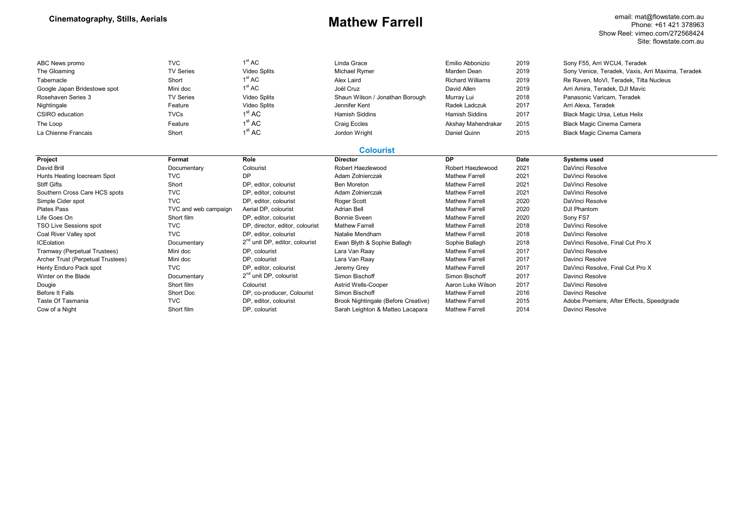email: mat@flowstate.com.au Phone: +61 421 378963 Show Reel: vimeo.com/272568424 Site: flowstate.com.au

| ABC News promo                    | <b>TVC</b>           | 1 <sup>st</sup> AC                         | Linda Grace                         | Emilio Abbonizio        | 2019 | Sony F55, Arri WCU4, Teradek                      |
|-----------------------------------|----------------------|--------------------------------------------|-------------------------------------|-------------------------|------|---------------------------------------------------|
| The Gloaming                      | <b>TV Series</b>     | Video Splits                               | <b>Michael Rymer</b>                | Marden Dean             | 2019 | Sony Venice, Teradek, Vaxis, Arri Maxima, Teradek |
| Tabernacle                        | Short                | 1 <sup>st</sup> AC                         | Alex Laird                          | <b>Richard Williams</b> | 2019 | Re Raven, MoVI, Teradek, Tilta Nucleus            |
| Google Japan Bridestowe spot      | Mini doc             | 1 <sup>st</sup> AC                         | Joël Cruz                           | David Allen             | 2019 | Arri Amira, Teradek, DJI Mavic                    |
| Rosehaven Series 3                | <b>TV Series</b>     | <b>Video Splits</b>                        | Shaun Wilson / Jonathan Borough     | Murray Lui              | 2018 | Panasonic Varicam, Teradek                        |
| Nightingale                       | Feature              | <b>Video Splits</b>                        | Jennifer Kent                       | Radek Ladczuk           | 2017 | Arri Alexa, Teradek                               |
| CSIRO education                   | <b>TVCs</b>          | 1 <sup>st</sup> AC                         | <b>Hamish Siddins</b>               | <b>Hamish Siddins</b>   | 2017 | Black Magic Ursa, Letus Helix                     |
| The Loop                          | Feature              | 1 <sup>st</sup> AC                         | <b>Craig Eccles</b>                 | Akshay Mahendrakar      | 2015 | Black Magic Cinema Camera                         |
| La Chienne Francais               | Short                | 1 <sup>st</sup> AC                         | Jordon Wright                       | Daniel Quinn            | 2015 | Black Magic Cinema Camera                         |
|                                   |                      |                                            | <b>Colourist</b>                    |                         |      |                                                   |
| Project                           | Format               | Role                                       | <b>Director</b>                     | <b>DP</b>               | Date | <b>Systems used</b>                               |
| David Brill                       | Documentary          | Colourist                                  | Robert Haezlewood                   | Robert Haezlewood       | 2021 | DaVinci Resolve                                   |
| Hunts Heating Icecream Spot       | <b>TVC</b>           | DP                                         | Adam Zolnierczak                    | <b>Mathew Farrell</b>   | 2021 | DaVinci Resolve                                   |
| <b>Stiff Gifts</b>                | Short                | DP. editor. colourist                      | <b>Ben Moreton</b>                  | <b>Mathew Farrell</b>   | 2021 | DaVinci Resolve                                   |
| Southern Cross Care HCS spots     | <b>TVC</b>           | DP, editor, colourist                      | Adam Zolnierczak                    | <b>Mathew Farrell</b>   | 2021 | DaVinci Resolve                                   |
| Simple Cider spot                 | <b>TVC</b>           | DP, editor, colourist                      | Roger Scott                         | <b>Mathew Farrell</b>   | 2020 | DaVinci Resolve                                   |
| <b>Plates Pass</b>                | TVC and web campaign | Aerial DP, colourist                       | <b>Adrian Bell</b>                  | <b>Mathew Farrell</b>   | 2020 | <b>DJI Phantom</b>                                |
| Life Goes On                      | Short film           | DP, editor, colourist                      | <b>Bonnie Sveen</b>                 | <b>Mathew Farrell</b>   | 2020 | Sony FS7                                          |
| <b>TSO Live Sessions spot</b>     | <b>TVC</b>           | DP, director, editor, colourist            | <b>Mathew Farrell</b>               | <b>Mathew Farrell</b>   | 2018 | DaVinci Resolve                                   |
| Coal River Valley spot            | <b>TVC</b>           | DP, editor, colourist                      | Natalie Mendham                     | <b>Mathew Farrell</b>   | 2018 | DaVinci Resolve                                   |
| <b>ICEolation</b>                 | Documentary          | 2 <sup>nd</sup> unit DP, editor, colourist | Ewan Blyth & Sophie Ballagh         | Sophie Ballagh          | 2018 | DaVinci Resolve, Final Cut Pro X                  |
| Tramway (Perpetual Trustees)      | Mini doc             | DP. colourist                              | Lara Van Raay                       | <b>Mathew Farrell</b>   | 2017 | DaVinci Resolve                                   |
| Archer Trust (Perpetual Trustees) | Mini doc             | DP, colourist                              | Lara Van Raay                       | <b>Mathew Farrell</b>   | 2017 | Davinci Resolve                                   |
| Henty Enduro Pack spot            | <b>TVC</b>           | DP. editor. colourist                      | Jeremy Grey                         | <b>Mathew Farrell</b>   | 2017 | DaVinci Resolve, Final Cut Pro X                  |
| Winter on the Blade               | Documentary          | 2 <sup>nd</sup> unit DP, colourist         | Simon Bischoff                      | Simon Bischoff          | 2017 | Davinci Resolve                                   |
| Dougie                            | Short film           | Colourist                                  | <b>Astrid Wells-Cooper</b>          | Aaron Luke Wilson       | 2017 | DaVinci Resolve                                   |
| Before It Falls                   | Short Doc            | DP, co-producer, Colourist                 | Simon Bischoff                      | <b>Mathew Farrell</b>   | 2016 | Davinci Resolve                                   |
| Taste Of Tasmania                 | <b>TVC</b>           | DP, editor, colourist                      | Brook Nightingale (Before Creative) | <b>Mathew Farrell</b>   | 2015 | Adobe Premiere, After Effects, Speedgrade         |
| Cow of a Night                    | Short film           | DP, colourist                              | Sarah Leighton & Matteo Lacapara    | <b>Mathew Farrell</b>   | 2014 | Davinci Resolve                                   |